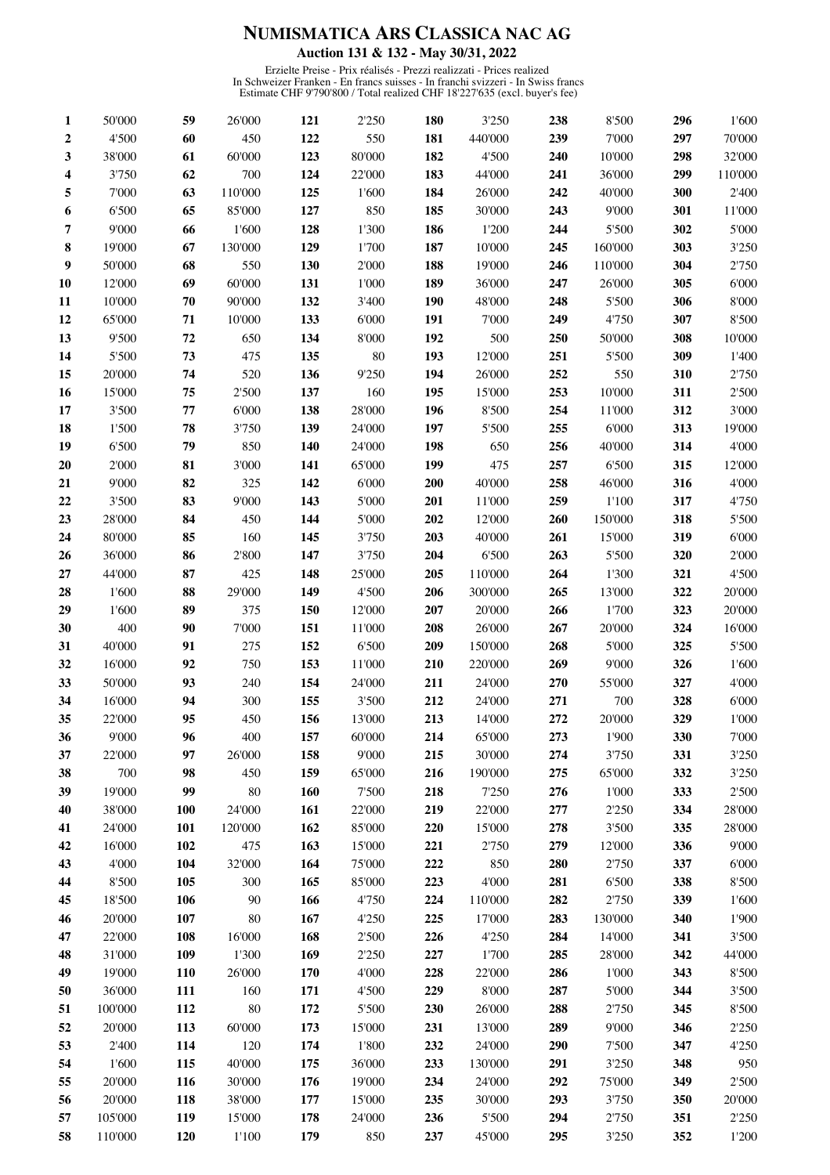## NUMISMATICA ARS CLASSICA NAC AG Auction 131 & 132 - May 30/31, 2022

Erzielte Preise - Prix réalisés - Prezzi realizzati - Prices realized<br>In Schweizer Franken - En francs suisses - In franchi svizzeri - In Swiss francs<br>Estimate CHF 9'790'800 / Total realized CHF 18'227'635 (excl. buyer's f

| 1  | 50'000  | 59  | 26'000  | 121 | 2'250  | <b>180</b> | 3'250   | 238 | 8'500   | 296 | 1'600   |
|----|---------|-----|---------|-----|--------|------------|---------|-----|---------|-----|---------|
| 2  | 4'500   | 60  | 450     | 122 | 550    | 181        | 440'000 | 239 | 7'000   | 297 | 70'000  |
| 3  | 38'000  | 61  | 60'000  | 123 | 80'000 | 182        | 4'500   | 240 | 10'000  | 298 | 32'000  |
| 4  | 3'750   | 62  | 700     | 124 | 22'000 | 183        | 44'000  | 241 | 36'000  | 299 | 110'000 |
| 5  | 7'000   | 63  | 110'000 | 125 | 1'600  | 184        | 26'000  | 242 | 40'000  | 300 | 2'400   |
| 6  | 6'500   | 65  | 85'000  | 127 | 850    | 185        | 30'000  | 243 | 9'000   | 301 | 11'000  |
| 7  | 9'000   | 66  | 1'600   | 128 | 1'300  | 186        | 1'200   | 244 | 5'500   | 302 | 5'000   |
| 8  | 19'000  | 67  | 130'000 | 129 | 1'700  | 187        | 10'000  | 245 | 160'000 | 303 | 3'250   |
| 9  | 50'000  | 68  | 550     | 130 | 2'000  | 188        | 19'000  | 246 | 110'000 | 304 | 2'750   |
| 10 | 12'000  | 69  | 60'000  | 131 | 1'000  | 189        | 36'000  | 247 | 26'000  | 305 | 6'000   |
| 11 | 10'000  | 70  | 90'000  | 132 | 3'400  | 190        | 48'000  | 248 | 5'500   | 306 | 8'000   |
| 12 | 65'000  | 71  | 10'000  | 133 | 6'000  | 191        | 7'000   | 249 | 4'750   | 307 | 8'500   |
| 13 | 9'500   | 72  | 650     | 134 | 8'000  | 192        | 500     | 250 | 50'000  | 308 | 10'000  |
| 14 | 5'500   | 73  | 475     | 135 | 80     | 193        | 12'000  | 251 | 5'500   | 309 | 1'400   |
| 15 | 20'000  | 74  | 520     | 136 | 9'250  | 194        | 26'000  | 252 | 550     | 310 | 2'750   |
| 16 | 15'000  | 75  | 2'500   | 137 | 160    | 195        | 15'000  | 253 | 10'000  | 311 | 2'500   |
| 17 | 3'500   | 77  | 6'000   | 138 | 28'000 | 196        | 8'500   | 254 | 11'000  | 312 | 3'000   |
| 18 | 1'500   | 78  | 3'750   | 139 | 24'000 | 197        | 5'500   | 255 | 6'000   | 313 | 19'000  |
| 19 | 6'500   | 79  | 850     | 140 | 24'000 | 198        | 650     | 256 | 40'000  | 314 | 4'000   |
| 20 | 2'000   | 81  | 3'000   | 141 | 65'000 | 199        | 475     | 257 | 6'500   | 315 | 12'000  |
| 21 | 9'000   | 82  | 325     | 142 | 6'000  | 200        | 40'000  | 258 | 46'000  | 316 | 4'000   |
| 22 | 3'500   | 83  | 9'000   | 143 | 5'000  | 201        | 11'000  | 259 | 1'100   | 317 | 4'750   |
| 23 | 28'000  | 84  | 450     | 144 | 5'000  | 202        | 12'000  | 260 | 150'000 | 318 | 5'500   |
| 24 | 80'000  | 85  | 160     | 145 | 3'750  | 203        | 40'000  | 261 | 15'000  | 319 | 6'000   |
| 26 | 36'000  | 86  | 2'800   | 147 | 3'750  | 204        | 6'500   | 263 | 5'500   | 320 | 2'000   |
| 27 | 44'000  | 87  | 425     | 148 | 25'000 | 205        | 110'000 | 264 | 1'300   | 321 | 4'500   |
| 28 | 1'600   | 88  | 29'000  | 149 | 4'500  | 206        | 300'000 | 265 | 13'000  | 322 | 20'000  |
| 29 | 1'600   | 89  | 375     | 150 | 12'000 | 207        | 20'000  | 266 | 1'700   | 323 | 20'000  |
| 30 | 400     | 90  | 7'000   | 151 | 11'000 | 208        | 26'000  | 267 | 20'000  | 324 | 16'000  |
| 31 | 40'000  | 91  | 275     | 152 | 6'500  | 209        | 150'000 | 268 | 5'000   | 325 | 5'500   |
| 32 | 16'000  | 92  | 750     | 153 | 11'000 | 210        | 220'000 | 269 | 9'000   | 326 | 1'600   |
| 33 | 50'000  | 93  | 240     | 154 | 24'000 | 211        | 24'000  | 270 | 55'000  | 327 | 4'000   |
| 34 | 16'000  | 94  | 300     | 155 | 3'500  | 212        | 24'000  | 271 | 700     | 328 | 6'000   |
| 35 | 22'000  | 95  | 450     | 156 | 13'000 | 213        | 14'000  | 272 | 20'000  | 329 | 1'000   |
| 36 | 9'000   | 96  | 400     | 157 | 60'000 | 214        | 65'000  | 273 | 1'900   | 330 | 7'000   |
| 37 | 22'000  | 97  | 26'000  | 158 | 9'000  | 215        | 30'000  | 274 | 3'750   | 331 | 3'250   |
| 38 | 700     | 98  | 450     | 159 | 65'000 | 216        | 190'000 | 275 | 65'000  | 332 | 3'250   |
| 39 | 19'000  | 99  | 80      | 160 | 7'500  | 218        | 7'250   | 276 | 1'000   | 333 | 2'500   |
| 40 | 38'000  | 100 | 24'000  | 161 | 22'000 | 219        | 22'000  | 277 | 2'250   | 334 | 28'000  |
| 41 | 24'000  | 101 | 120'000 | 162 | 85'000 | 220        | 15'000  | 278 | 3'500   | 335 | 28'000  |
| 42 | 16'000  | 102 | 475     | 163 | 15'000 | 221        | 2'750   | 279 | 12'000  | 336 | 9'000   |
| 43 | 4'000   | 104 | 32'000  | 164 | 75'000 | 222        | 850     | 280 | 2'750   | 337 | 6'000   |
| 44 | 8'500   | 105 | 300     | 165 | 85'000 | 223        | 4'000   | 281 | 6'500   | 338 | 8'500   |
| 45 | 18'500  | 106 | 90      | 166 | 4'750  | 224        | 110'000 | 282 | 2'750   | 339 | 1'600   |
| 46 | 20'000  | 107 | 80      | 167 | 4'250  | 225        | 17'000  | 283 | 130'000 | 340 | 1'900   |
| 47 | 22'000  | 108 | 16'000  | 168 | 2'500  | 226        | 4'250   | 284 | 14'000  | 341 | 3'500   |
| 48 | 31'000  | 109 | 1'300   | 169 | 2'250  | 227        | 1'700   | 285 | 28'000  | 342 | 44'000  |
| 49 | 19'000  | 110 | 26'000  | 170 | 4'000  | 228        | 22'000  | 286 | 1'000   | 343 | 8'500   |
| 50 | 36'000  | 111 | 160     | 171 | 4'500  | 229        | 8'000   | 287 | 5'000   | 344 | $3'500$ |
| 51 | 100'000 | 112 | 80      | 172 | 5'500  | 230        | 26'000  | 288 | 2'750   | 345 | 8'500   |
| 52 | 20'000  | 113 | 60'000  | 173 | 15'000 | 231        | 13'000  | 289 | 9'000   | 346 | 2'250   |
| 53 | 2'400   | 114 | 120     | 174 | 1'800  | 232        | 24'000  | 290 | 7'500   | 347 | 4'250   |
| 54 | 1'600   | 115 | 40'000  | 175 | 36'000 | 233        | 130'000 | 291 | 3'250   | 348 | 950     |
| 55 | 20'000  | 116 | 30'000  | 176 | 19'000 | 234        | 24'000  | 292 | 75'000  | 349 | 2'500   |
| 56 | 20'000  | 118 | 38'000  | 177 | 15'000 | 235        | 30'000  | 293 | 3'750   | 350 | 20'000  |
| 57 | 105'000 | 119 | 15'000  | 178 | 24'000 | 236        | 5'500   | 294 | 2'750   | 351 | 2'250   |
| 58 | 110'000 | 120 | 1'100   | 179 | 850    | 237        | 45'000  | 295 | 3'250   | 352 | 1'200   |